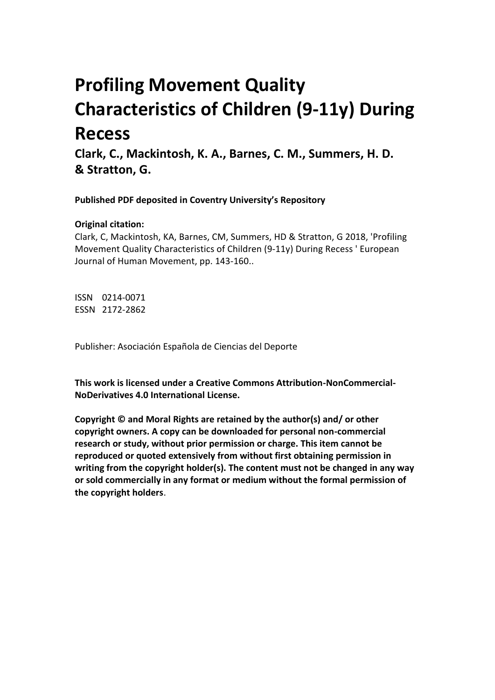# **Profiling Movement Quality Characteristics of Children (9-11y) During Recess**

**Clark, C., Mackintosh, K. A., Barnes, C. M., Summers, H. D. & Stratton, G.** 

**Published PDF deposited in Coventry University's Repository** 

# **Original citation:**

Clark, C, Mackintosh, KA, Barnes, CM, Summers, HD & Stratton, G 2018, 'Profiling Movement Quality Characteristics of Children (9-11y) During Recess ' European Journal of Human Movement, pp. 143-160..

ISSN 0214-0071 ESSN 2172-2862

Publisher: Asociación Española de Ciencias del Deporte

**This work is licensed under a Creative Commons Attribution-NonCommercial-NoDerivatives 4.0 International License.**

**Copyright © and Moral Rights are retained by the author(s) and/ or other copyright owners. A copy can be downloaded for personal non-commercial research or study, without prior permission or charge. This item cannot be reproduced or quoted extensively from without first obtaining permission in writing from the copyright holder(s). The content must not be changed in any way or sold commercially in any format or medium without the formal permission of the copyright holders**.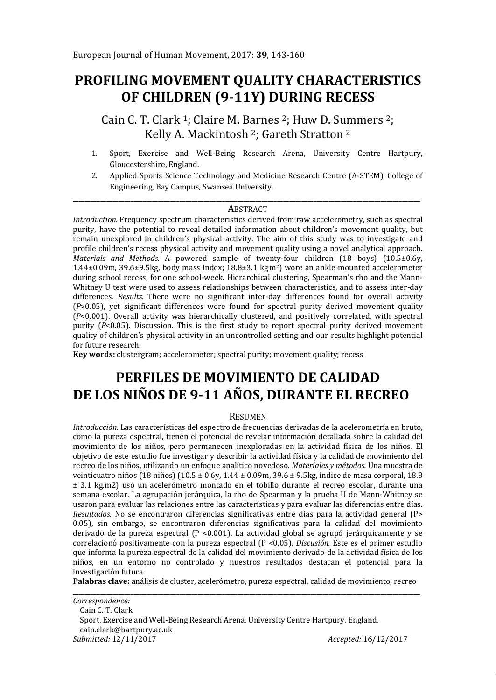# **PROFILING MOVEMENT QUALITY CHARACTERISTICS OF CHILDREN (9-11Y) DURING RECESS**

Cain C. T. Clark 1; Claire M. Barnes 2; Huw D. Summers 2; Kelly A. Mackintosh 2; Gareth Stratton <sup>2</sup>

- 1. Sport, Exercise and Well-Being Research Arena, University Centre Hartpury, Gloucestershire, England.
- 2. Applied Sports Science Technology and Medicine Research Centre (A-STEM), College of Engineering, Bay Campus, Swansea University.

#### \_\_\_\_\_\_\_\_\_\_\_\_\_\_\_\_\_\_\_\_\_\_\_\_\_\_\_\_\_\_\_\_\_\_\_\_\_\_\_\_\_\_\_\_\_\_\_\_\_\_\_\_\_\_\_\_\_\_\_\_\_\_\_\_\_\_\_\_\_\_\_\_\_\_\_\_\_\_\_\_\_\_\_\_\_\_\_\_\_\_\_\_\_\_\_\_\_\_\_\_\_\_\_\_\_\_\_\_\_\_\_\_\_\_ **ABSTRACT**

*Introduction.* Frequency spectrum characteristics derived from raw accelerometry, such as spectral purity, have the potential to reveal detailed information about children's movement quality, but remain unexplored in children's physical activity. The aim of this study was to investigate and profile children's recess physical activity and movement quality using a novel analytical approach. *Materials and Methods.* A powered sample of twenty-four children (18 boys) (10.5±0.6y, 1.44±0.09m, 39.6±9.5kg, body mass index; 18.8±3.1 kg. m2) wore an ankle-mounted accelerometer during school recess, for one school-week. Hierarchical clustering, Spearman's rho and the Mann-Whitney U test were used to assess relationships between characteristics, and to assess inter-day differences. *Results.* There were no significant inter-day differences found for overall activity (*P*>0.05), yet significant differences were found for spectral purity derived movement quality (*P*<0.001). Overall activity was hierarchically clustered, and positively correlated, with spectral purity (*P*<0.05). Discussion. This is the first study to report spectral purity derived movement quality of children's physical activity in an uncontrolled setting and our results highlight potential for future research.

**Key words:** clustergram; accelerometer; spectral purity; movement quality; recess

# **PERFILES DE MOVIMIENTO DE CALIDAD DE LOS NIÑOS DE 9-11 AÑOS, DURANTE EL RECREO**

#### **RESUMEN**

*Introducción*. Las características del espectro de frecuencias derivadas de la acelerometría en bruto, como la pureza espectral, tienen el potencial de revelar información detallada sobre la calidad del movimiento de los niños, pero permanecen inexploradas en la actividad física de los niños. El objetivo de este estudio fue investigar y describir la actividad física y la calidad de movimiento del recreo de los niños, utilizando un enfoque analítico novedoso. *Materiales y métodos.* Una muestra de veinticuatro niños (18 niños) (10.5 ± 0.6y, 1.44 ± 0.09m, 39.6 ± 9.5kg, índice de masa corporal, 18.8 ± 3.1 kg.m2) usó un acelerómetro montado en el tobillo durante el recreo escolar, durante una semana escolar. La agrupación jerárquica, la rho de Spearman y la prueba U de Mann-Whitney se usaron para evaluar las relaciones entre las características y para evaluar las diferencias entre días. *Resultados.* No se encontraron diferencias significativas entre días para la actividad general (P> 0.05), sin embargo, se encontraron diferencias significativas para la calidad del movimiento derivado de la pureza espectral  $(P \le 0.001)$ . La actividad global se agrupó jerárquicamente y se correlacionó positivamente con la pureza espectral (P <0,05). *Discusión.* Este es el primer estudio que informa la pureza espectral de la calidad del movimiento derivado de la actividad física de los niños, en un entorno no controlado y nuestros resultados destacan el potencial para la investigación futura.

**Palabras clave:** análisis de cluster, acelerómetro, pureza espectral, calidad de movimiento, recreo

\_\_\_\_\_\_\_\_\_\_\_\_\_\_\_\_\_\_\_\_\_\_\_\_\_\_\_\_\_\_\_\_\_\_\_\_\_\_\_\_\_\_\_\_\_\_\_\_\_\_\_\_\_\_\_\_\_\_\_\_\_\_\_\_\_\_\_\_\_\_\_\_\_\_\_\_\_\_\_\_\_\_\_\_\_\_\_\_\_\_\_\_\_\_\_\_\_\_\_\_\_\_\_\_\_\_\_\_\_\_\_\_\_\_ *Correspondence:*  Cain C. T. Clark Sport, Exercise and Well-Being Research Arena, University Centre Hartpury, England. cain.clark@hartpury.ac.uk *Submitted:* 12/11/2017 *Accepted:* 16/12/2017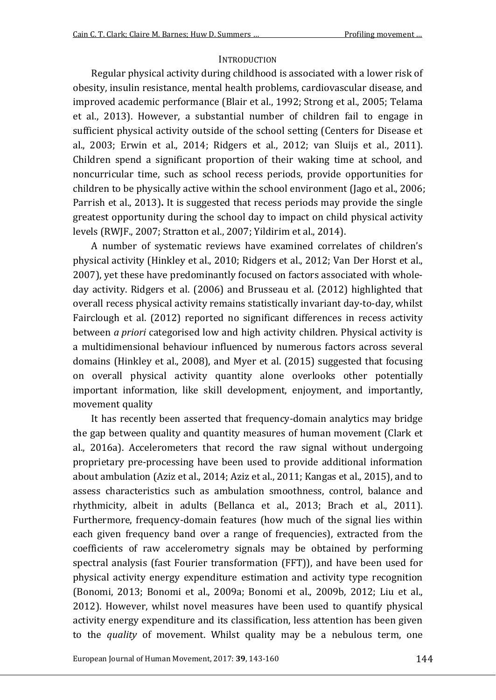#### **INTRODUCTION**

Regular physical activity during childhood is associated with a lower risk of obesity, insulin resistance, mental health problems, cardiovascular disease, and improved academic performance (Blair et al., 1992; Strong et al., 2005; Telama et al., 2013). However, a substantial number of children fail to engage in sufficient physical activity outside of the school setting (Centers for Disease et al., 2003; Erwin et al., 2014; Ridgers et al., 2012; van Sluijs et al., 2011). Children spend a significant proportion of their waking time at school, and noncurricular time, such as school recess periods, provide opportunities for children to be physically active within the school environment (Jago et al., 2006; Parrish et al., 2013)**.** It is suggested that recess periods may provide the single greatest opportunity during the school day to impact on child physical activity levels (RWJF., 2007; Stratton et al., 2007; Yildirim et al., 2014).

A number of systematic reviews have examined correlates of children's physical activity (Hinkley et al., 2010; Ridgers et al., 2012; Van Der Horst et al., 2007), yet these have predominantly focused on factors associated with wholeday activity. Ridgers et al. (2006) and Brusseau et al. (2012) highlighted that overall recess physical activity remains statistically invariant day-to-day, whilst Fairclough et al. (2012) reported no significant differences in recess activity between *a priori* categorised low and high activity children. Physical activity is a multidimensional behaviour influenced by numerous factors across several domains (Hinkley et al., 2008), and Myer et al. (2015) suggested that focusing on overall physical activity quantity alone overlooks other potentially important information, like skill development, enjoyment, and importantly, movement quality

It has recently been asserted that frequency-domain analytics may bridge the gap between quality and quantity measures of human movement (Clark et al., 2016a). Accelerometers that record the raw signal without undergoing proprietary pre-processing have been used to provide additional information about ambulation (Aziz et al., 2014; Aziz et al., 2011; Kangas et al., 2015), and to assess characteristics such as ambulation smoothness, control, balance and rhythmicity, albeit in adults (Bellanca et al., 2013; Brach et al., 2011). Furthermore, frequency-domain features (how much of the signal lies within each given frequency band over a range of frequencies), extracted from the coefficients of raw accelerometry signals may be obtained by performing spectral analysis (fast Fourier transformation (FFT)), and have been used for physical activity energy expenditure estimation and activity type recognition (Bonomi, 2013; Bonomi et al., 2009a; Bonomi et al., 2009b, 2012; Liu et al., 2012). However, whilst novel measures have been used to quantify physical activity energy expenditure and its classification, less attention has been given to the *quality* of movement. Whilst quality may be a nebulous term, one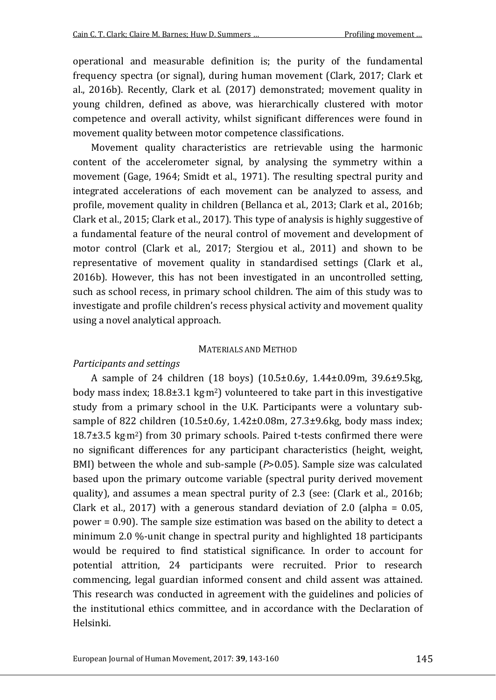operational and measurable definition is; the purity of the fundamental frequency spectra (or signal), during human movement (Clark, 2017; Clark et al., 2016b). Recently, Clark et al. (2017) demonstrated; movement quality in young children, defined as above, was hierarchically clustered with motor competence and overall activity, whilst significant differences were found in movement quality between motor competence classifications.

Movement quality characteristics are retrievable using the harmonic content of the accelerometer signal, by analysing the symmetry within a movement (Gage, 1964; Smidt et al., 1971). The resulting spectral purity and integrated accelerations of each movement can be analyzed to assess, and profile, movement quality in children (Bellanca et al., 2013; Clark et al., 2016b; Clark et al., 2015; Clark et al., 2017). This type of analysis is highly suggestive of a fundamental feature of the neural control of movement and development of motor control (Clark et al., 2017; Stergiou et al., 2011) and shown to be representative of movement quality in standardised settings (Clark et al., 2016b). However, this has not been investigated in an uncontrolled setting, such as school recess, in primary school children. The aim of this study was to investigate and profile children's recess physical activity and movement quality using a novel analytical approach.

#### MATERIALS AND METHOD

#### *Participants and settings*

A sample of 24 children (18 boys) (10.5±0.6y, 1.44±0.09m, 39.6±9.5kg, body mass index; 18.8±3.1 kg·m<sup>2</sup>) volunteered to take part in this investigative study from a primary school in the U.K. Participants were a voluntary subsample of 822 children (10.5±0.6y, 1.42±0.08m, 27.3±9.6kg, body mass index; 18.7±3.5 kg. m2) from 30 primary schools. Paired t-tests confirmed there were no significant differences for any participant characteristics (height, weight, BMI) between the whole and sub-sample (*P*>0.05). Sample size was calculated based upon the primary outcome variable (spectral purity derived movement quality), and assumes a mean spectral purity of 2.3 (see: (Clark et al., 2016b; Clark et al., 2017) with a generous standard deviation of 2.0 (alpha =  $0.05$ , power = 0.90). The sample size estimation was based on the ability to detect a minimum 2.0 %-unit change in spectral purity and highlighted 18 participants would be required to find statistical significance. In order to account for potential attrition, 24 participants were recruited. Prior to research commencing, legal guardian informed consent and child assent was attained. This research was conducted in agreement with the guidelines and policies of the institutional ethics committee, and in accordance with the Declaration of Helsinki.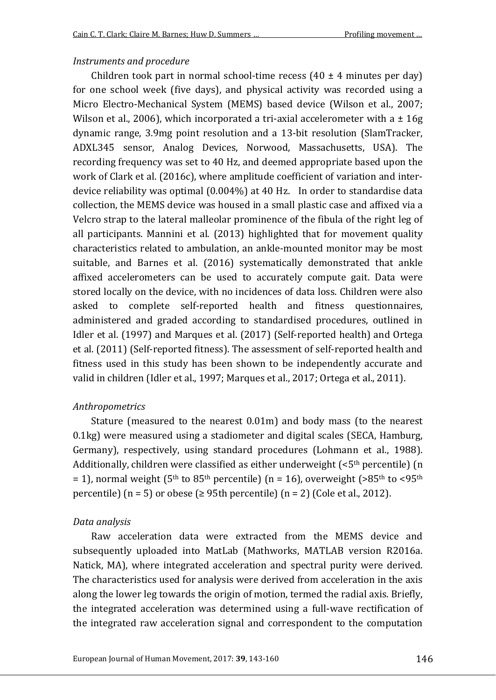#### *Instruments and procedure*

Children took part in normal school-time recess  $(40 \pm 4 \text{ minutes per day})$ for one school week (five days), and physical activity was recorded using a Micro Electro-Mechanical System (MEMS) based device (Wilson et al., 2007; Wilson et al., 2006), which incorporated a tri-axial accelerometer with a  $\pm 16g$ dynamic range, 3.9mg point resolution and a 13-bit resolution (SlamTracker, ADXL345 sensor, Analog Devices, Norwood, Massachusetts, USA). The recording frequency was set to 40 Hz, and deemed appropriate based upon the work of Clark et al. (2016c), where amplitude coefficient of variation and interdevice reliability was optimal (0.004%) at 40 Hz. In order to standardise data collection, the MEMS device was housed in a small plastic case and affixed via a Velcro strap to the lateral malleolar prominence of the fibula of the right leg of all participants. Mannini et al. (2013) highlighted that for movement quality characteristics related to ambulation, an ankle-mounted monitor may be most suitable, and Barnes et al. (2016) systematically demonstrated that ankle affixed accelerometers can be used to accurately compute gait. Data were stored locally on the device, with no incidences of data loss. Children were also asked to complete self-reported health and fitness questionnaires, administered and graded according to standardised procedures, outlined in Idler et al. (1997) and Marques et al. (2017) (Self-reported health) and Ortega et al. (2011) (Self-reported fitness). The assessment of self-reported health and fitness used in this study has been shown to be independently accurate and valid in children (Idler et al., 1997; Marques et al., 2017; Ortega et al., 2011).

### *Anthropometrics*

Stature (measured to the nearest 0.01m) and body mass (to the nearest 0.1kg) were measured using a stadiometer and digital scales (SECA, Hamburg, Germany), respectively, using standard procedures (Lohmann et al., 1988). Additionally, children were classified as either underweight  $( $5<sup>th</sup>$  percentile)$  (n = 1), normal weight ( $5<sup>th</sup>$  to  $85<sup>th</sup>$  percentile) (n = 16), overweight ( $>85<sup>th</sup>$  to  $<95<sup>th</sup>$ percentile) ( $n = 5$ ) or obese ( $\geq 95$ th percentile) ( $n = 2$ ) (Cole et al., 2012).

### *Data analysis*

Raw acceleration data were extracted from the MEMS device and subsequently uploaded into MatLab (Mathworks, MATLAB version R2016a. Natick, MA), where integrated acceleration and spectral purity were derived. The characteristics used for analysis were derived from acceleration in the axis along the lower leg towards the origin of motion, termed the radial axis. Briefly, the integrated acceleration was determined using a full-wave rectification of the integrated raw acceleration signal and correspondent to the computation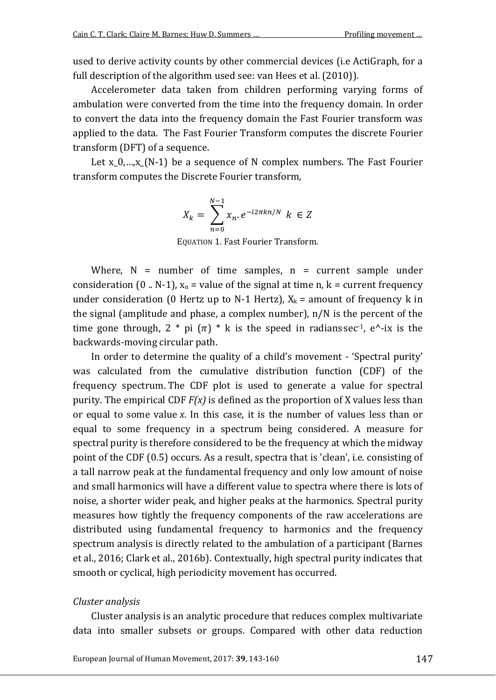used to derive activity counts by other commercial devices (i.e ActiGraph, for a full description of the algorithm used see: van Hees et al. (2010)).

Accelerometer data taken from children performing varying forms of ambulation were converted from the time into the frequency domain. In order to convert the data into the frequency domain the Fast Fourier transform was applied to the data. The Fast Fourier Transform computes the discrete Fourier transform (DFT) of a sequence.

Let x  $0,...,x$  (N-1) be a sequence of N complex numbers. The Fast Fourier transform computes the Discrete Fourier transform,

$$
X_k = \sum_{n=0}^{N-1} x_n e^{-i2\pi kn/N} \ k \in \mathbb{Z}
$$

EQUATION 1. Fast Fourier Transform.

Where,  $N =$  number of time samples,  $n =$  current sample under consideration (0 .. N-1),  $x_n$  = value of the signal at time n,  $k =$  current frequency under consideration (0 Hertz up to N-1 Hertz),  $X_k$  = amount of frequency k in the signal (amplitude and phase, a complex number), n/N is the percent of the time gone through,  $2 * pi (\pi) * k$  is the speed in radianssec<sup>-1</sup>, e<sup> $\lambda$ </sup>-ix is the backwards-moving circular path.

In order to determine the quality of a child's movement - 'Spectral purity' was calculated from the cumulative distribution function (CDF) of the frequency spectrum. The CDF plot is used to generate a value for spectral purity. The empirical CDF *F(x)* is defined as the proportion of X values less than or equal to some value *x*. In this case, it is the number of values less than or equal to some frequency in a spectrum being considered. A measure for spectral purity is therefore considered to be the frequency at which the midway point of the CDF (0.5) occurs. As a result, spectra that is 'clean', i.e. consisting of a tall narrow peak at the fundamental frequency and only low amount of noise and small harmonics will have a different value to spectra where there is lots of noise, a shorter wider peak, and higher peaks at the harmonics. Spectral purity measures how tightly the frequency components of the raw accelerations are distributed using fundamental frequency to harmonics and the frequency spectrum analysis is directly related to the ambulation of a participant (Barnes et al., 2016; Clark et al., 2016b). Contextually, high spectral purity indicates that smooth or cyclical, high periodicity movement has occurred.

### *Cluster analysis*

Cluster analysis is an analytic procedure that reduces complex multivariate data into smaller subsets or groups. Compared with other data reduction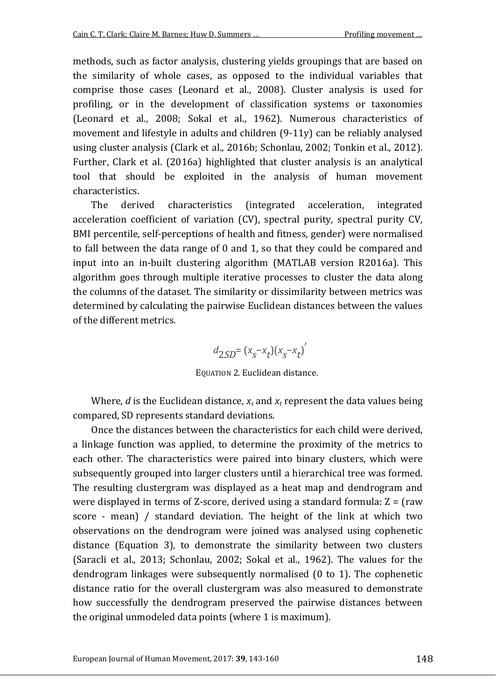methods, such as factor analysis, clustering yields groupings that are based on the similarity of whole cases, as opposed to the individual variables that comprise those cases (Leonard et al., 2008). Cluster analysis is used for profiling, or in the development of classification systems or taxonomies (Leonard et al., 2008; Sokal et al., 1962). Numerous characteristics of movement and lifestyle in adults and children (9-11y) can be reliably analysed using cluster analysis (Clark et al., 2016b; Schonlau, 2002; Tonkin et al., 2012). Further, Clark et al. (2016a) highlighted that cluster analysis is an analytical tool that should be exploited in the analysis of human movement characteristics.

The derived characteristics (integrated acceleration, integrated acceleration coefficient of variation (CV), spectral purity, spectral purity CV, BMI percentile, self-perceptions of health and fitness, gender) were normalised to fall between the data range of 0 and 1, so that they could be compared and input into an in-built clustering algorithm (MATLAB version R2016a). This algorithm goes through multiple iterative processes to cluster the data along the columns of the dataset. The similarity or dissimilarity between metrics was determined by calculating the pairwise Euclidean distances between the values of the different metrics.

$$
d_{2SD} = (x_s - x_t)(x_s - x_t)'
$$

EQUATION 2. Euclidean distance.

Where, *d* is the Euclidean distance,  $x_s$  and  $x_t$  represent the data values being compared, SD represents standard deviations.

Once the distances between the characteristics for each child were derived, a linkage function was applied, to determine the proximity of the metrics to each other. The characteristics were paired into binary clusters, which were subsequently grouped into larger clusters until a hierarchical tree was formed. The resulting clustergram was displayed as a heat map and dendrogram and were displayed in terms of Z-score, derived using a standard formula:  $Z = (raw)$ score - mean) / standard deviation. The height of the link at which two observations on the dendrogram were joined was analysed using cophenetic distance (Equation 3), to demonstrate the similarity between two clusters (Saracli et al., 2013; Schonlau, 2002; Sokal et al., 1962). The values for the dendrogram linkages were subsequently normalised (0 to 1). The cophenetic distance ratio for the overall clustergram was also measured to demonstrate how successfully the dendrogram preserved the pairwise distances between the original unmodeled data points (where 1 is maximum).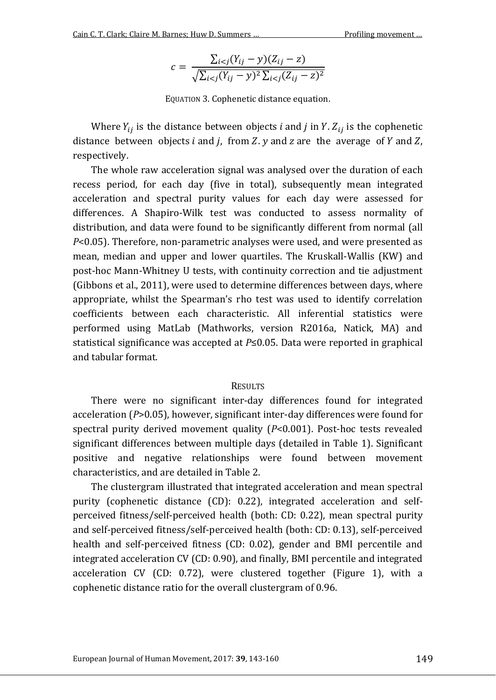$$
c = \frac{\sum_{i < j} (Y_{ij} - y)(Z_{ij} - z)}{\sqrt{\sum_{i < j} (Y_{ij} - y)^2 \sum_{i < j} (Z_{ij} - z)^2}}
$$

EQUATION 3. Cophenetic distance equation.

Where  $Y_{ij}$  is the distance between objects *i* and *j* in *Y*.  $Z_{ij}$  is the cophenetic distance between objects  $i$  and  $j$ , from  $Z$ .  $y$  and  $z$  are the average of  $Y$  and  $Z$ , respectively.

The whole raw acceleration signal was analysed over the duration of each recess period, for each day (five in total), subsequently mean integrated acceleration and spectral purity values for each day were assessed for differences. A Shapiro-Wilk test was conducted to assess normality of distribution, and data were found to be significantly different from normal (all *P*<0.05). Therefore, non-parametric analyses were used, and were presented as mean, median and upper and lower quartiles. The Kruskall-Wallis (KW) and post-hoc Mann-Whitney U tests, with continuity correction and tie adjustment (Gibbons et al., 2011), were used to determine differences between days, where appropriate, whilst the Spearman's rho test was used to identify correlation coefficients between each characteristic. All inferential statistics were performed using MatLab (Mathworks, version R2016a, Natick, MA) and statistical significance was accepted at *P*≤0.05. Data were reported in graphical and tabular format.

#### **RESULTS**

There were no significant inter-day differences found for integrated acceleration (*P*>0.05), however, significant inter-day differences were found for spectral purity derived movement quality (*P*<0.001). Post-hoc tests revealed significant differences between multiple days (detailed in Table 1). Significant positive and negative relationships were found between movement characteristics, and are detailed in Table 2.

The clustergram illustrated that integrated acceleration and mean spectral purity (cophenetic distance (CD): 0.22), integrated acceleration and selfperceived fitness/self-perceived health (both: CD: 0.22), mean spectral purity and self-perceived fitness/self-perceived health (both: CD: 0.13), self-perceived health and self-perceived fitness (CD: 0.02), gender and BMI percentile and integrated acceleration CV (CD: 0.90), and finally, BMI percentile and integrated acceleration CV (CD: 0.72), were clustered together (Figure 1), with a cophenetic distance ratio for the overall clustergram of 0.96.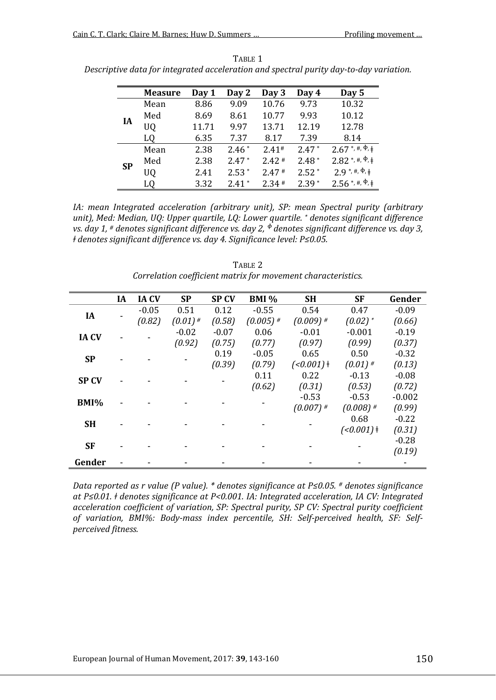|           | <b>Measure</b> | Day 1 | Day 2   | Day 3   | Day 4   | Day 5                                       |
|-----------|----------------|-------|---------|---------|---------|---------------------------------------------|
| IA        | Mean           | 8.86  | 9.09    | 10.76   | 9.73    | 10.32                                       |
|           | Med            | 8.69  | 8.61    | 10.77   | 9.93    | 10.12                                       |
|           | UQ             | 11.71 | 9.97    | 13.71   | 12.19   | 12.78                                       |
|           | LQ             | 6.35  | 7.37    | 8.17    | 7.39    | 8.14                                        |
| <b>SP</b> | Mean           | 2.38  | $2.46*$ | $2.41*$ | $2.47*$ | $2.67$ *, #, $\overline{\Phi, \pm}$         |
|           | Med            | 2.38  | $2.47*$ | $2.42*$ | $2.48*$ | $2.82$ *, #, $\Phi$ , $\dagger$             |
|           | UQ             | 2.41  | $2.53*$ | 2.47#   | $2.52*$ | $2.9$ *, #, $\Phi$ , $\ddagger$             |
|           | L0             | 3.32  | $2.41*$ | $2.34*$ | $2.39*$ | $2.56$ <sup>*</sup> , #, $\Phi$ , $\dagger$ |

TABLE 1 *Descriptive data for integrated acceleration and spectral purity day-to-day variation.*

*IA: mean Integrated acceleration (arbitrary unit), SP: mean Spectral purity (arbitrary unit), Med: Median, UQ: Upper quartile, LQ: Lower quartile. \* denotes significant difference vs. day 1, <sup>#</sup> denotes significant difference vs. day 2, <sup>* $\Phi$ *</sup> denotes significant difference vs. day 3, ǂ denotes significant difference vs. day 4. Significance level: P≤0.05.*

|              | <b>IA</b> | <b>IACV</b> | <b>SP</b>  | <b>SPCV</b> | <b>BMI</b> % | <b>SH</b>    | SF                    | Gender   |
|--------------|-----------|-------------|------------|-------------|--------------|--------------|-----------------------|----------|
| <b>IA</b>    |           | $-0.05$     | 0.51       | 0.12        | $-0.55$      | 0.54         | 0.47                  | $-0.09$  |
|              |           | (0.82)      | $(0.01)$ # | (0.58)      | $(0.005)$ #  | $(0.009)$ #  | $(0.02)$ <sup>*</sup> | (0.66)   |
|              |           |             | $-0.02$    | $-0.07$     | 0.06         | $-0.01$      | $-0.001$              | $-0.19$  |
| <b>IA CV</b> |           |             | (0.92)     | (0.75)      | (0.77)       | (0.97)       | (0.99)                | (0.37)   |
| <b>SP</b>    |           |             |            | 0.19        | $-0.05$      | 0.65         | 0.50                  | $-0.32$  |
|              |           |             |            | (0.39)      | (0.79)       | $(<0.001)$ + | $(0.01)$ #            | (0.13)   |
|              |           |             |            |             | 0.11         | 0.22         | $-0.13$               | $-0.08$  |
| <b>SP CV</b> |           |             |            |             | (0.62)       | (0.31)       | (0.53)                | (0.72)   |
| BMI%         |           |             |            |             |              | $-0.53$      | $-0.53$               | $-0.002$ |
|              |           |             |            |             |              | $(0.007)$ #  | $(0.008)$ #           | (0.99)   |
| <b>SH</b>    |           |             |            |             |              |              | 0.68                  | $-0.22$  |
|              |           |             |            |             |              |              | $(0.001)$ +           | (0.31)   |
| <b>SF</b>    |           |             |            |             |              |              |                       | $-0.28$  |
|              |           |             |            |             |              |              |                       | (0.19)   |
| Gender       |           |             |            |             |              |              |                       |          |

TABLE 2 *Correlation coefficient matrix for movement characteristics.*

*Data reported as r value (P value). \* denotes significance at P≤0.05. # denotes significance at P≤0.01. ǂ denotes significance at P<0.001. IA: Integrated acceleration, IA CV: Integrated acceleration coefficient of variation, SP: Spectral purity, SP CV: Spectral purity coefficient of variation, BMI%: Body-mass index percentile, SH: Self-perceived health, SF: Selfperceived fitness.*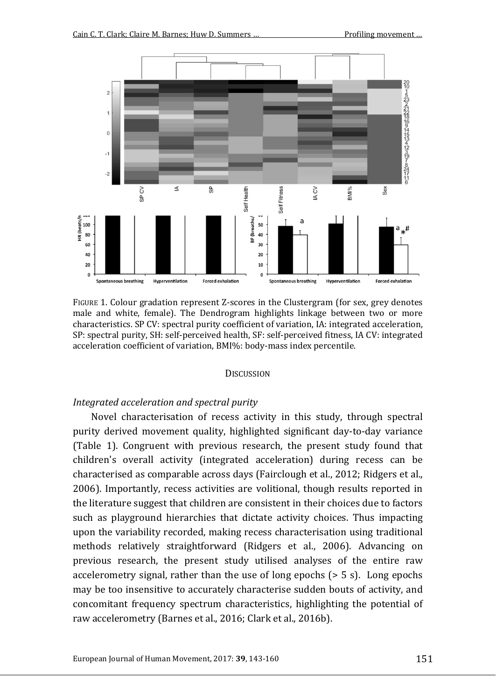

FIGURE 1. Colour gradation represent Z-scores in the Clustergram (for sex, grey denotes male and white, female). The Dendrogram highlights linkage between two or more characteristics. SP CV: spectral purity coefficient of variation, IA: integrated acceleration, SP: spectral purity, SH: self-perceived health, SF: self-perceived fitness, IA CV: integrated acceleration coefficient of variation, BMI%: body-mass index percentile.

#### **DISCUSSION**

#### *Integrated acceleration and spectral purity*

Novel characterisation of recess activity in this study, through spectral purity derived movement quality, highlighted significant day-to-day variance (Table 1). Congruent with previous research, the present study found that children's overall activity (integrated acceleration) during recess can be characterised as comparable across days (Fairclough et al., 2012; Ridgers et al., 2006). Importantly, recess activities are volitional, though results reported in the literature suggest that children are consistent in their choices due to factors such as playground hierarchies that dictate activity choices. Thus impacting upon the variability recorded, making recess characterisation using traditional methods relatively straightforward (Ridgers et al., 2006). Advancing on previous research, the present study utilised analyses of the entire raw accelerometry signal, rather than the use of long epochs (> 5 s). Long epochs may be too insensitive to accurately characterise sudden bouts of activity, and concomitant frequency spectrum characteristics, highlighting the potential of raw accelerometry (Barnes et al., 2016; Clark et al., 2016b).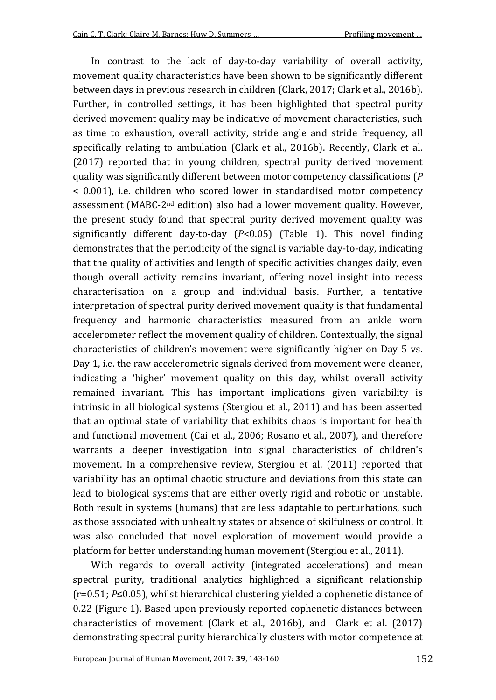In contrast to the lack of day-to-day variability of overall activity, movement quality characteristics have been shown to be significantly different between days in previous research in children (Clark, 2017; Clark et al., 2016b). Further, in controlled settings, it has been highlighted that spectral purity derived movement quality may be indicative of movement characteristics, such as time to exhaustion, overall activity, stride angle and stride frequency, all specifically relating to ambulation (Clark et al., 2016b). Recently, Clark et al. (2017) reported that in young children, spectral purity derived movement quality was significantly different between motor competency classifications (*P* < 0.001), i.e. children who scored lower in standardised motor competency assessment (MABC-2nd edition) also had a lower movement quality. However, the present study found that spectral purity derived movement quality was significantly different day-to-day (*P*<0.05) (Table 1). This novel finding demonstrates that the periodicity of the signal is variable day-to-day, indicating that the quality of activities and length of specific activities changes daily, even though overall activity remains invariant, offering novel insight into recess characterisation on a group and individual basis. Further, a tentative interpretation of spectral purity derived movement quality is that fundamental frequency and harmonic characteristics measured from an ankle worn accelerometer reflect the movement quality of children. Contextually, the signal characteristics of children's movement were significantly higher on Day 5 vs. Day 1, i.e. the raw accelerometric signals derived from movement were cleaner, indicating a 'higher' movement quality on this day, whilst overall activity remained invariant. This has important implications given variability is intrinsic in all biological systems (Stergiou et al., 2011) and has been asserted that an optimal state of variability that exhibits chaos is important for health and functional movement (Cai et al., 2006; Rosano et al., 2007), and therefore warrants a deeper investigation into signal characteristics of children's movement. In a comprehensive review, Stergiou et al. (2011) reported that variability has an optimal chaotic structure and deviations from this state can lead to biological systems that are either overly rigid and robotic or unstable. Both result in systems (humans) that are less adaptable to perturbations, such as those associated with unhealthy states or absence of skilfulness or control. It was also concluded that novel exploration of movement would provide a platform for better understanding human movement (Stergiou et al., 2011).

With regards to overall activity (integrated accelerations) and mean spectral purity, traditional analytics highlighted a significant relationship (r=0.51; *P*≤0.05), whilst hierarchical clustering yielded a cophenetic distance of 0.22 (Figure 1). Based upon previously reported cophenetic distances between characteristics of movement (Clark et al., 2016b), and Clark et al. (2017) demonstrating spectral purity hierarchically clusters with motor competence at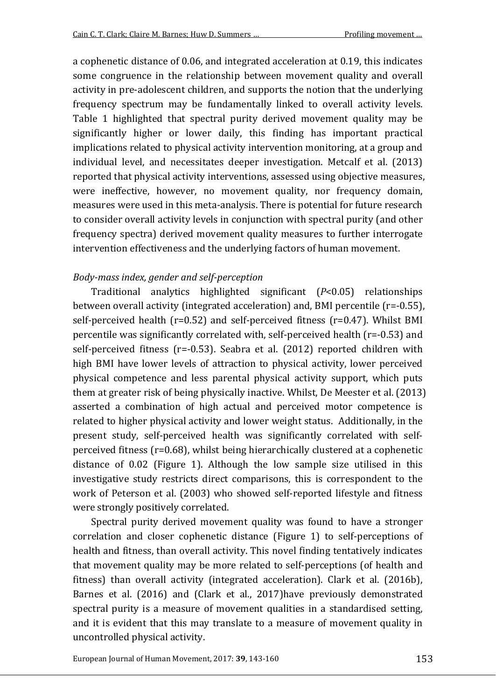a cophenetic distance of 0.06, and integrated acceleration at 0.19, this indicates some congruence in the relationship between movement quality and overall activity in pre-adolescent children, and supports the notion that the underlying frequency spectrum may be fundamentally linked to overall activity levels. Table 1 highlighted that spectral purity derived movement quality may be significantly higher or lower daily, this finding has important practical implications related to physical activity intervention monitoring, at a group and individual level, and necessitates deeper investigation. Metcalf et al. (2013) reported that physical activity interventions, assessed using objective measures, were ineffective, however, no movement quality, nor frequency domain, measures were used in this meta-analysis. There is potential for future research to consider overall activity levels in conjunction with spectral purity (and other frequency spectra) derived movement quality measures to further interrogate intervention effectiveness and the underlying factors of human movement.

## *Body-mass index, gender and self-perception*

Traditional analytics highlighted significant (*P*<0.05) relationships between overall activity (integrated acceleration) and, BMI percentile (r=-0.55), self-perceived health (r=0.52) and self-perceived fitness (r=0.47). Whilst BMI percentile was significantly correlated with, self-perceived health (r=-0.53) and self-perceived fitness (r=-0.53). Seabra et al. (2012) reported children with high BMI have lower levels of attraction to physical activity, lower perceived physical competence and less parental physical activity support, which puts them at greater risk of being physically inactive. Whilst, De Meester et al. (2013) asserted a combination of high actual and perceived motor competence is related to higher physical activity and lower weight status. Additionally, in the present study, self-perceived health was significantly correlated with selfperceived fitness (r=0.68), whilst being hierarchically clustered at a cophenetic distance of 0.02 (Figure 1). Although the low sample size utilised in this investigative study restricts direct comparisons, this is correspondent to the work of Peterson et al. (2003) who showed self-reported lifestyle and fitness were strongly positively correlated.

Spectral purity derived movement quality was found to have a stronger correlation and closer cophenetic distance (Figure 1) to self-perceptions of health and fitness, than overall activity. This novel finding tentatively indicates that movement quality may be more related to self-perceptions (of health and fitness) than overall activity (integrated acceleration). Clark et al. (2016b), Barnes et al. (2016) and (Clark et al., 2017)have previously demonstrated spectral purity is a measure of movement qualities in a standardised setting, and it is evident that this may translate to a measure of movement quality in uncontrolled physical activity.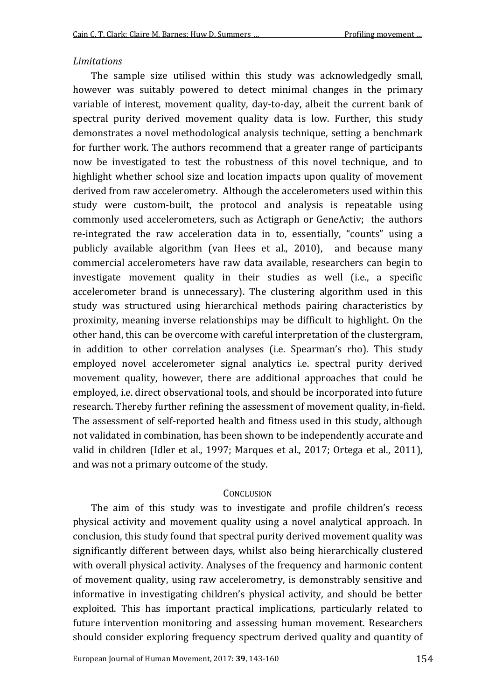#### *Limitations*

The sample size utilised within this study was acknowledgedly small, however was suitably powered to detect minimal changes in the primary variable of interest, movement quality, day-to-day, albeit the current bank of spectral purity derived movement quality data is low. Further, this study demonstrates a novel methodological analysis technique, setting a benchmark for further work. The authors recommend that a greater range of participants now be investigated to test the robustness of this novel technique, and to highlight whether school size and location impacts upon quality of movement derived from raw accelerometry. Although the accelerometers used within this study were custom-built, the protocol and analysis is repeatable using commonly used accelerometers, such as Actigraph or GeneActiv; the authors re-integrated the raw acceleration data in to, essentially, "counts" using a publicly available algorithm (van Hees et al., 2010), and because many commercial accelerometers have raw data available, researchers can begin to investigate movement quality in their studies as well (i.e., a specific accelerometer brand is unnecessary). The clustering algorithm used in this study was structured using hierarchical methods pairing characteristics by proximity, meaning inverse relationships may be difficult to highlight. On the other hand, this can be overcome with careful interpretation of the clustergram, in addition to other correlation analyses (i.e. Spearman's rho). This study employed novel accelerometer signal analytics i.e. spectral purity derived movement quality, however, there are additional approaches that could be employed, i.e. direct observational tools, and should be incorporated into future research. Thereby further refining the assessment of movement quality, in-field. The assessment of self-reported health and fitness used in this study, although not validated in combination, has been shown to be independently accurate and valid in children (Idler et al., 1997; Marques et al., 2017; Ortega et al., 2011), and was not a primary outcome of the study.

#### **CONCLUSION**

The aim of this study was to investigate and profile children's recess physical activity and movement quality using a novel analytical approach. In conclusion, this study found that spectral purity derived movement quality was significantly different between days, whilst also being hierarchically clustered with overall physical activity. Analyses of the frequency and harmonic content of movement quality, using raw accelerometry, is demonstrably sensitive and informative in investigating children's physical activity, and should be better exploited. This has important practical implications, particularly related to future intervention monitoring and assessing human movement. Researchers should consider exploring frequency spectrum derived quality and quantity of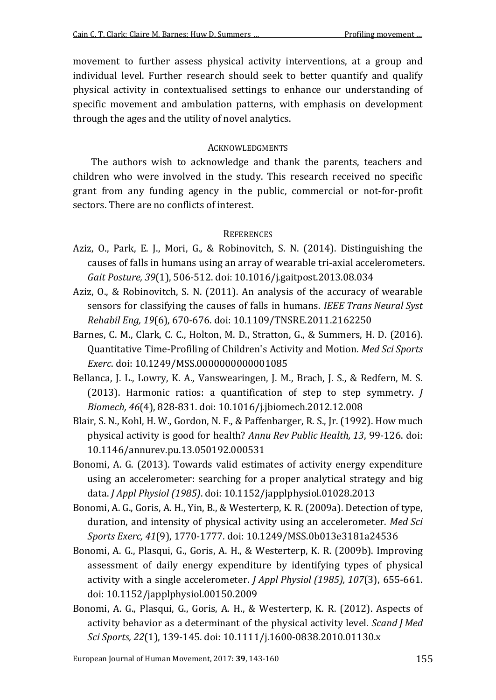movement to further assess physical activity interventions, at a group and individual level. Further research should seek to better quantify and qualify physical activity in contextualised settings to enhance our understanding of specific movement and ambulation patterns, with emphasis on development through the ages and the utility of novel analytics.

## **ACKNOWLEDGMENTS**

The authors wish to acknowledge and thank the parents, teachers and children who were involved in the study. This research received no specific grant from any funding agency in the public, commercial or not-for-profit sectors. There are no conflicts of interest.

## **REFERENCES**

- Aziz, O., Park, E. J., Mori, G., & Robinovitch, S. N. (2014). Distinguishing the causes of falls in humans using an array of wearable tri-axial accelerometers. *Gait Posture, 39*(1), 506-512. doi: 10.1016/j.gaitpost.2013.08.034
- Aziz, O., & Robinovitch, S. N. (2011). An analysis of the accuracy of wearable sensors for classifying the causes of falls in humans. *IEEE Trans Neural Syst Rehabil Eng, 19*(6), 670-676. doi: 10.1109/TNSRE.2011.2162250
- Barnes, C. M., Clark, C. C., Holton, M. D., Stratton, G., & Summers, H. D. (2016). Quantitative Time-Profiling of Children's Activity and Motion. *Med Sci Sports Exerc*. doi: 10.1249/MSS.0000000000001085
- Bellanca, J. L., Lowry, K. A., Vanswearingen, J. M., Brach, J. S., & Redfern, M. S. (2013). Harmonic ratios: a quantification of step to step symmetry. *J Biomech, 46*(4), 828-831. doi: 10.1016/j.jbiomech.2012.12.008
- Blair, S. N., Kohl, H. W., Gordon, N. F., & Paffenbarger, R. S., Jr. (1992). How much physical activity is good for health? *Annu Rev Public Health, 13*, 99-126. doi: 10.1146/annurev.pu.13.050192.000531
- Bonomi, A. G. (2013). Towards valid estimates of activity energy expenditure using an accelerometer: searching for a proper analytical strategy and big data. *J Appl Physiol (1985)*. doi: 10.1152/japplphysiol.01028.2013
- Bonomi, A. G., Goris, A. H., Yin, B., & Westerterp, K. R. (2009a). Detection of type, duration, and intensity of physical activity using an accelerometer. *Med Sci Sports Exerc, 41*(9), 1770-1777. doi: 10.1249/MSS.0b013e3181a24536
- Bonomi, A. G., Plasqui, G., Goris, A. H., & Westerterp, K. R. (2009b). Improving assessment of daily energy expenditure by identifying types of physical activity with a single accelerometer. *J Appl Physiol (1985), 107*(3), 655-661. doi: 10.1152/japplphysiol.00150.2009
- Bonomi, A. G., Plasqui, G., Goris, A. H., & Westerterp, K. R. (2012). Aspects of activity behavior as a determinant of the physical activity level. *Scand J Med Sci Sports, 22*(1), 139-145. doi: 10.1111/j.1600-0838.2010.01130.x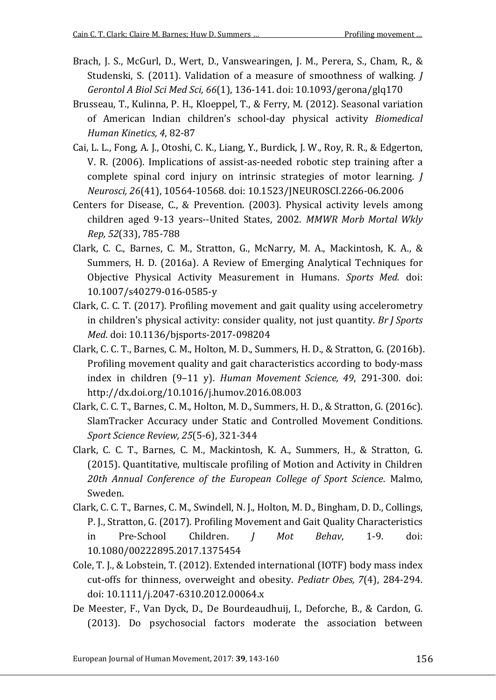- Brach, J. S., McGurl, D., Wert, D., Vanswearingen, J. M., Perera, S., Cham, R., & Studenski, S. (2011). Validation of a measure of smoothness of walking. *J Gerontol A Biol Sci Med Sci, 66*(1), 136-141. doi: 10.1093/gerona/glq170
- Brusseau, T., Kulinna, P. H., Kloeppel, T., & Ferry, M. (2012). Seasonal variation of American Indian children's school-day physical activity *Biomedical Human Kinetics, 4*, 82-87
- Cai, L. L., Fong, A. J., Otoshi, C. K., Liang, Y., Burdick, J. W., Roy, R. R., & Edgerton, V. R. (2006). Implications of assist-as-needed robotic step training after a complete spinal cord injury on intrinsic strategies of motor learning. *J Neurosci, 26*(41), 10564-10568. doi: 10.1523/JNEUROSCI.2266-06.2006
- Centers for Disease, C., & Prevention. (2003). Physical activity levels among children aged 9-13 years--United States, 2002. *MMWR Morb Mortal Wkly Rep, 52*(33), 785-788
- Clark, C. C., Barnes, C. M., Stratton, G., McNarry, M. A., Mackintosh, K. A., & Summers, H. D. (2016a). A Review of Emerging Analytical Techniques for Objective Physical Activity Measurement in Humans. *Sports Med*. doi: 10.1007/s40279-016-0585-y
- Clark, C. C. T. (2017). Profiling movement and gait quality using accelerometry in children's physical activity: consider quality, not just quantity. *Br J Sports Med*. doi: 10.1136/bjsports-2017-098204
- Clark, C. C. T., Barnes, C. M., Holton, M. D., Summers, H. D., & Stratton, G. (2016b). Profiling movement quality and gait characteristics according to body-mass index in children (9–11 y). *Human Movement Science, 49*, 291-300. doi: http://dx.doi.org/10.1016/j.humov.2016.08.003
- Clark, C. C. T., Barnes, C. M., Holton, M. D., Summers, H. D., & Stratton, G. (2016c). SlamTracker Accuracy under Static and Controlled Movement Conditions. *Sport Science Review, 25*(5-6), 321-344
- Clark, C. C. T., Barnes, C. M., Mackintosh, K. A., Summers, H., & Stratton, G. (2015). Quantitative, multiscale profiling of Motion and Activity in Children *20th Annual Conference of the European College of Sport Science*. Malmo, Sweden.
- Clark, C. C. T., Barnes, C. M., Swindell, N. J., Holton, M. D., Bingham, D. D., Collings, P. J., Stratton, G. (2017). Profiling Movement and Gait Quality Characteristics in Pre-School Children. *J Mot Behav*, 1-9. doi: 10.1080/00222895.2017.1375454
- Cole, T. J., & Lobstein, T. (2012). Extended international (IOTF) body mass index cut-offs for thinness, overweight and obesity. *Pediatr Obes, 7*(4), 284-294. doi: 10.1111/j.2047-6310.2012.00064.x
- De Meester, F., Van Dyck, D., De Bourdeaudhuij, I., Deforche, B., & Cardon, G. (2013). Do psychosocial factors moderate the association between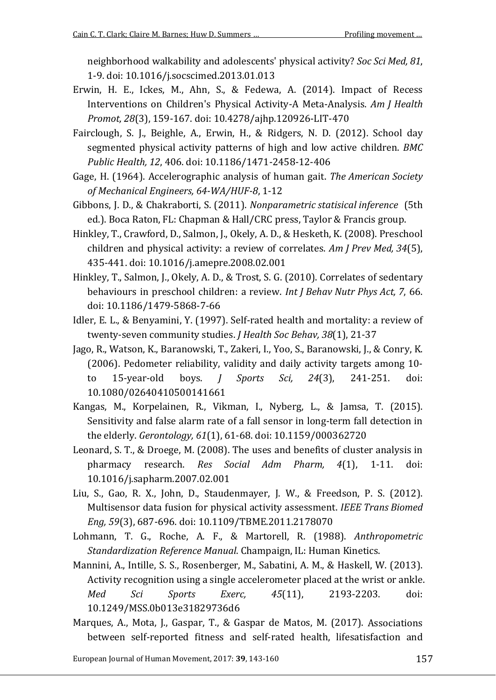neighborhood walkability and adolescents' physical activity? *Soc Sci Med, 81*, 1-9. doi: 10.1016/j.socscimed.2013.01.013

- Erwin, H. E., Ickes, M., Ahn, S., & Fedewa, A. (2014). Impact of Recess Interventions on Children's Physical Activity-A Meta-Analysis. *Am J Health Promot, 28*(3), 159-167. doi: 10.4278/ajhp.120926-LIT-470
- Fairclough, S. J., Beighle, A., Erwin, H., & Ridgers, N. D. (2012). School day segmented physical activity patterns of high and low active children. *BMC Public Health, 12*, 406. doi: 10.1186/1471-2458-12-406
- Gage, H. (1964). Accelerographic analysis of human gait. *The American Society of Mechanical Engineers, 64-WA/HUF-8*, 1-12

Gibbons, J. D., & Chakraborti, S. (2011). *Nonparametric statisical inference* (5th ed.). Boca Raton, FL: Chapman & Hall/CRC press, Taylor & Francis group.

- Hinkley, T., Crawford, D., Salmon, J., Okely, A. D., & Hesketh, K. (2008). Preschool children and physical activity: a review of correlates. *Am J Prev Med, 34*(5), 435-441. doi: 10.1016/j.amepre.2008.02.001
- Hinkley, T., Salmon, J., Okely, A. D., & Trost, S. G. (2010). Correlates of sedentary behaviours in preschool children: a review. *Int J Behav Nutr Phys Act, 7*, 66. doi: 10.1186/1479-5868-7-66
- Idler, E. L., & Benyamini, Y. (1997). Self-rated health and mortality: a review of twenty-seven community studies. *J Health Soc Behav, 38*(1), 21-37
- Jago, R., Watson, K., Baranowski, T., Zakeri, I., Yoo, S., Baranowski, J., & Conry, K. (2006). Pedometer reliability, validity and daily activity targets among 10 to 15-year-old boys. *J Sports Sci, 24*(3), 241-251. doi: 10.1080/02640410500141661
- Kangas, M., Korpelainen, R., Vikman, I., Nyberg, L., & Jamsa, T. (2015). Sensitivity and false alarm rate of a fall sensor in long-term fall detection in the elderly. *Gerontology, 61*(1), 61-68. doi: 10.1159/000362720
- Leonard, S. T., & Droege, M. (2008). The uses and benefits of cluster analysis in pharmacy research. *Res Social Adm Pharm, 4*(1), 1-11. doi: 10.1016/j.sapharm.2007.02.001
- Liu, S., Gao, R. X., John, D., Staudenmayer, J. W., & Freedson, P. S. (2012). Multisensor data fusion for physical activity assessment. *IEEE Trans Biomed Eng, 59*(3), 687-696. doi: 10.1109/TBME.2011.2178070
- Lohmann, T. G., Roche, A. F., & Martorell, R. (1988). *Anthropometric Standardization Reference Manual*. Champaign, IL: Human Kinetics.
- Mannini, A., Intille, S. S., Rosenberger, M., Sabatini, A. M., & Haskell, W. (2013). Activity recognition using a single accelerometer placed at the wrist or ankle. *Med Sci Sports Exerc, 45*(11), 2193-2203. doi: 10.1249/MSS.0b013e31829736d6
- Marques, A., Mota, J., Gaspar, T., & Gaspar de Matos, M. (2017). Associations between self-reported fitness and self-rated health, lifesatisfaction and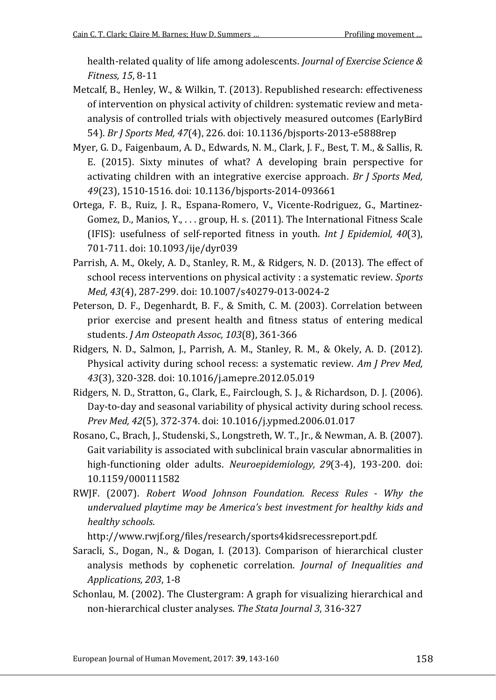health-related quality of life among adolescents. *Journal of Exercise Science & Fitness, 15*, 8-11

- Metcalf, B., Henley, W., & Wilkin, T. (2013). Republished research: effectiveness of intervention on physical activity of children: systematic review and metaanalysis of controlled trials with objectively measured outcomes (EarlyBird 54). *Br J Sports Med, 47*(4), 226. doi: 10.1136/bjsports-2013-e5888rep
- Myer, G. D., Faigenbaum, A. D., Edwards, N. M., Clark, J. F., Best, T. M., & Sallis, R. E. (2015). Sixty minutes of what? A developing brain perspective for activating children with an integrative exercise approach. *Br J Sports Med, 49*(23), 1510-1516. doi: 10.1136/bjsports-2014-093661
- Ortega, F. B., Ruiz, J. R., Espana-Romero, V., Vicente-Rodriguez, G., Martinez-Gomez, D., Manios, Y., . . . group, H. s. (2011). The International Fitness Scale (IFIS): usefulness of self-reported fitness in youth. *Int J Epidemiol, 40*(3), 701-711. doi: 10.1093/ije/dyr039
- Parrish, A. M., Okely, A. D., Stanley, R. M., & Ridgers, N. D. (2013). The effect of school recess interventions on physical activity : a systematic review. *Sports Med, 43*(4), 287-299. doi: 10.1007/s40279-013-0024-2
- Peterson, D. F., Degenhardt, B. F., & Smith, C. M. (2003). Correlation between prior exercise and present health and fitness status of entering medical students. *J Am Osteopath Assoc, 103*(8), 361-366
- Ridgers, N. D., Salmon, J., Parrish, A. M., Stanley, R. M., & Okely, A. D. (2012). Physical activity during school recess: a systematic review. *Am J Prev Med, 43*(3), 320-328. doi: 10.1016/j.amepre.2012.05.019
- Ridgers, N. D., Stratton, G., Clark, E., Fairclough, S. J., & Richardson, D. J. (2006). Day-to-day and seasonal variability of physical activity during school recess. *Prev Med, 42*(5), 372-374. doi: 10.1016/j.ypmed.2006.01.017
- Rosano, C., Brach, J., Studenski, S., Longstreth, W. T., Jr., & Newman, A. B. (2007). Gait variability is associated with subclinical brain vascular abnormalities in high-functioning older adults. *Neuroepidemiology, 29*(3-4), 193-200. doi: 10.1159/000111582
- RWJF. (2007). *Robert Wood Johnson Foundation. Recess Rules - Why the undervalued playtime may be America's best investment for healthy kids and healthy schools*.

http://www.rwjf.org/files/research/sports4kidsrecessreport.pdf.

- Saracli, S., Dogan, N., & Dogan, I. (2013). Comparison of hierarchical cluster analysis methods by cophenetic correlation. *Journal of Inequalities and Applications, 203*, 1-8
- Schonlau, M. (2002). The Clustergram: A graph for visualizing hierarchical and non-hierarchical cluster analyses. *The Stata Journal 3*, 316-327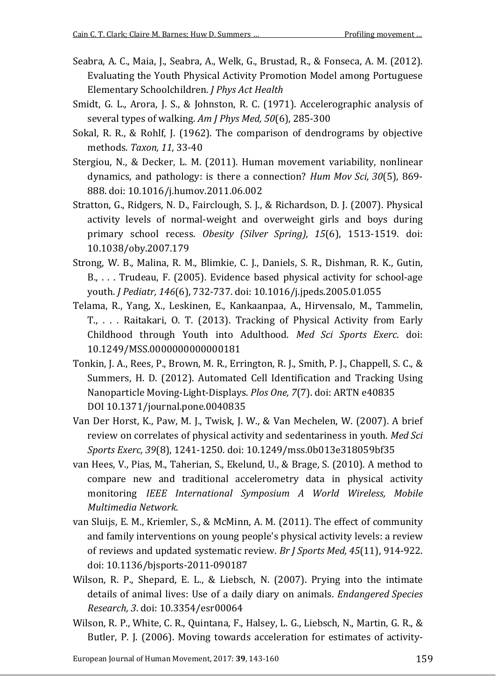- Seabra, A. C., Maia, J., Seabra, A., Welk, G., Brustad, R., & Fonseca, A. M. (2012). Evaluating the Youth Physical Activity Promotion Model among Portuguese Elementary Schoolchildren. *J Phys Act Health*
- Smidt, G. L., Arora, J. S., & Johnston, R. C. (1971). Accelerographic analysis of several types of walking. *Am J Phys Med, 50*(6), 285-300
- Sokal, R. R., & Rohlf, J. (1962). The comparison of dendrograms by objective methods. *Taxon, 11*, 33-40
- Stergiou, N., & Decker, L. M. (2011). Human movement variability, nonlinear dynamics, and pathology: is there a connection? *Hum Mov Sci, 30*(5), 869- 888. doi: 10.1016/j.humov.2011.06.002
- Stratton, G., Ridgers, N. D., Fairclough, S. J., & Richardson, D. J. (2007). Physical activity levels of normal-weight and overweight girls and boys during primary school recess. *Obesity (Silver Spring), 15*(6), 1513-1519. doi: 10.1038/oby.2007.179
- Strong, W. B., Malina, R. M., Blimkie, C. J., Daniels, S. R., Dishman, R. K., Gutin, B., . . . Trudeau, F. (2005). Evidence based physical activity for school-age youth. *J Pediatr, 146*(6), 732-737. doi: 10.1016/j.jpeds.2005.01.055
- Telama, R., Yang, X., Leskinen, E., Kankaanpaa, A., Hirvensalo, M., Tammelin, T., . . . Raitakari, O. T. (2013). Tracking of Physical Activity from Early Childhood through Youth into Adulthood. *Med Sci Sports Exerc*. doi: 10.1249/MSS.0000000000000181
- Tonkin, J. A., Rees, P., Brown, M. R., Errington, R. J., Smith, P. J., Chappell, S. C., & Summers, H. D. (2012). Automated Cell Identification and Tracking Using Nanoparticle Moving-Light-Displays. *Plos One, 7*(7). doi: ARTN e40835 DOI 10.1371/journal.pone.0040835
- Van Der Horst, K., Paw, M. J., Twisk, J. W., & Van Mechelen, W. (2007). A brief review on correlates of physical activity and sedentariness in youth. *Med Sci Sports Exerc, 39*(8), 1241-1250. doi: 10.1249/mss.0b013e318059bf35
- van Hees, V., Pias, M., Taherian, S., Ekelund, U., & Brage, S. (2010). A method to compare new and traditional accelerometry data in physical activity monitoring *IEEE International Symposium A World Wireless, Mobile Multimedia Network*.
- van Sluijs, E. M., Kriemler, S., & McMinn, A. M. (2011). The effect of community and family interventions on young people's physical activity levels: a review of reviews and updated systematic review. *Br J Sports Med, 45*(11), 914-922. doi: 10.1136/bjsports-2011-090187
- Wilson, R. P., Shepard, E. L., & Liebsch, N. (2007). Prying into the intimate details of animal lives: Use of a daily diary on animals. *Endangered Species Research, 3*. doi: 10.3354/esr00064
- Wilson, R. P., White, C. R., Quintana, F., Halsey, L. G., Liebsch, N., Martin, G. R., & Butler, P. J. (2006). Moving towards acceleration for estimates of activity-